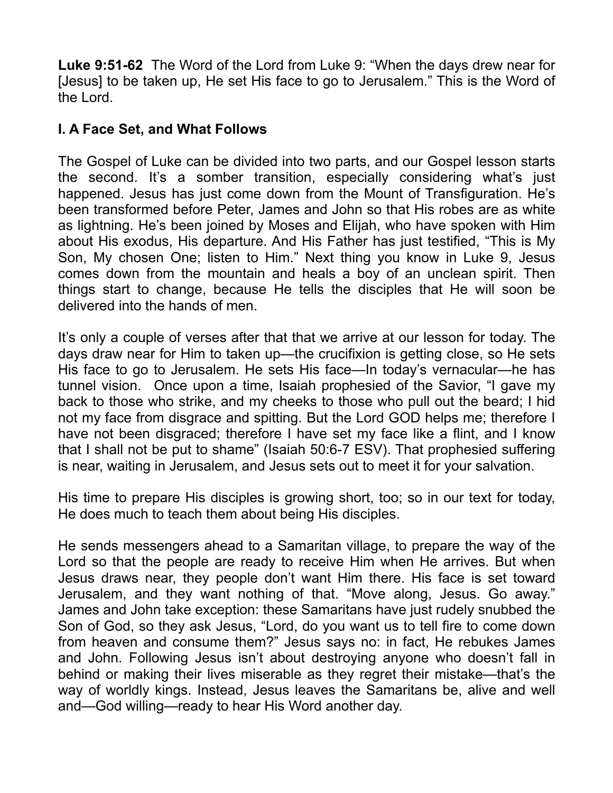**Luke 9:51-62** The Word of the Lord from Luke 9: "When the days drew near for [Jesus] to be taken up, He set His face to go to Jerusalem." This is the Word of the Lord.

## **I. A Face Set, and What Follows**

The Gospel of Luke can be divided into two parts, and our Gospel lesson starts the second. It's a somber transition, especially considering what's just happened. Jesus has just come down from the Mount of Transfiguration. He's been transformed before Peter, James and John so that His robes are as white as lightning. He's been joined by Moses and Elijah, who have spoken with Him about His exodus, His departure. And His Father has just testified, "This is My Son, My chosen One; listen to Him." Next thing you know in Luke 9, Jesus comes down from the mountain and heals a boy of an unclean spirit. Then things start to change, because He tells the disciples that He will soon be delivered into the hands of men.

It's only a couple of verses after that that we arrive at our lesson for today. The days draw near for Him to taken up—the crucifixion is getting close, so He sets His face to go to Jerusalem. He sets His face—In today's vernacular—he has tunnel vision. Once upon a time, Isaiah prophesied of the Savior, "I gave my back to those who strike, and my cheeks to those who pull out the beard; I hid not my face from disgrace and spitting. But the Lord GOD helps me; therefore I have not been disgraced; therefore I have set my face like a flint, and I know that I shall not be put to shame" (Isaiah 50:6-7 ESV). That prophesied suffering is near, waiting in Jerusalem, and Jesus sets out to meet it for your salvation.

His time to prepare His disciples is growing short, too; so in our text for today, He does much to teach them about being His disciples.

He sends messengers ahead to a Samaritan village, to prepare the way of the Lord so that the people are ready to receive Him when He arrives. But when Jesus draws near, they people don't want Him there. His face is set toward Jerusalem, and they want nothing of that. "Move along, Jesus. Go away." James and John take exception: these Samaritans have just rudely snubbed the Son of God, so they ask Jesus, "Lord, do you want us to tell fire to come down from heaven and consume them?" Jesus says no: in fact, He rebukes James and John. Following Jesus isn't about destroying anyone who doesn't fall in behind or making their lives miserable as they regret their mistake—that's the way of worldly kings. Instead, Jesus leaves the Samaritans be, alive and well and—God willing—ready to hear His Word another day.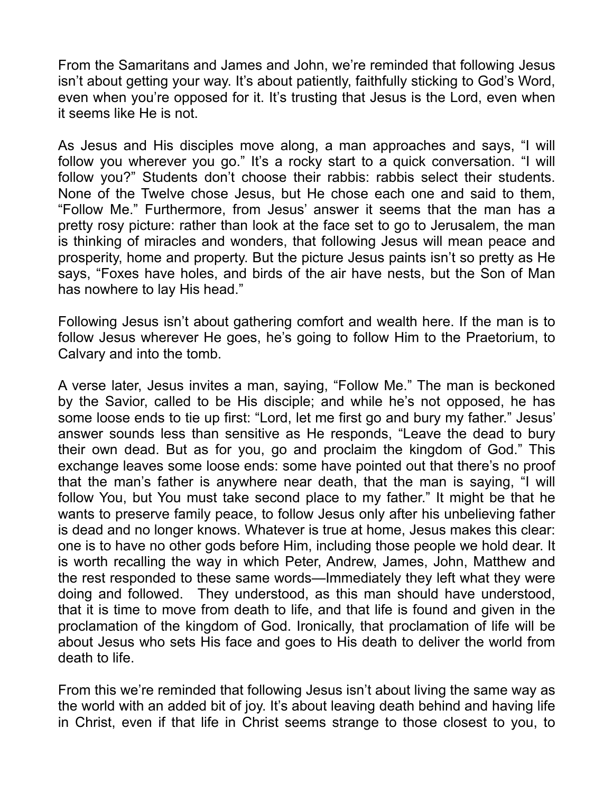From the Samaritans and James and John, we're reminded that following Jesus isn't about getting your way. It's about patiently, faithfully sticking to God's Word, even when you're opposed for it. It's trusting that Jesus is the Lord, even when it seems like He is not.

As Jesus and His disciples move along, a man approaches and says, "I will follow you wherever you go." It's a rocky start to a quick conversation. "I will follow you?" Students don't choose their rabbis: rabbis select their students. None of the Twelve chose Jesus, but He chose each one and said to them, "Follow Me." Furthermore, from Jesus' answer it seems that the man has a pretty rosy picture: rather than look at the face set to go to Jerusalem, the man is thinking of miracles and wonders, that following Jesus will mean peace and prosperity, home and property. But the picture Jesus paints isn't so pretty as He says, "Foxes have holes, and birds of the air have nests, but the Son of Man has nowhere to lay His head."

Following Jesus isn't about gathering comfort and wealth here. If the man is to follow Jesus wherever He goes, he's going to follow Him to the Praetorium, to Calvary and into the tomb.

A verse later, Jesus invites a man, saying, "Follow Me." The man is beckoned by the Savior, called to be His disciple; and while he's not opposed, he has some loose ends to tie up first: "Lord, let me first go and bury my father." Jesus' answer sounds less than sensitive as He responds, "Leave the dead to bury their own dead. But as for you, go and proclaim the kingdom of God." This exchange leaves some loose ends: some have pointed out that there's no proof that the man's father is anywhere near death, that the man is saying, "I will follow You, but You must take second place to my father." It might be that he wants to preserve family peace, to follow Jesus only after his unbelieving father is dead and no longer knows. Whatever is true at home, Jesus makes this clear: one is to have no other gods before Him, including those people we hold dear. It is worth recalling the way in which Peter, Andrew, James, John, Matthew and the rest responded to these same words—Immediately they left what they were doing and followed. They understood, as this man should have understood, that it is time to move from death to life, and that life is found and given in the proclamation of the kingdom of God. Ironically, that proclamation of life will be about Jesus who sets His face and goes to His death to deliver the world from death to life.

From this we're reminded that following Jesus isn't about living the same way as the world with an added bit of joy. It's about leaving death behind and having life in Christ, even if that life in Christ seems strange to those closest to you, to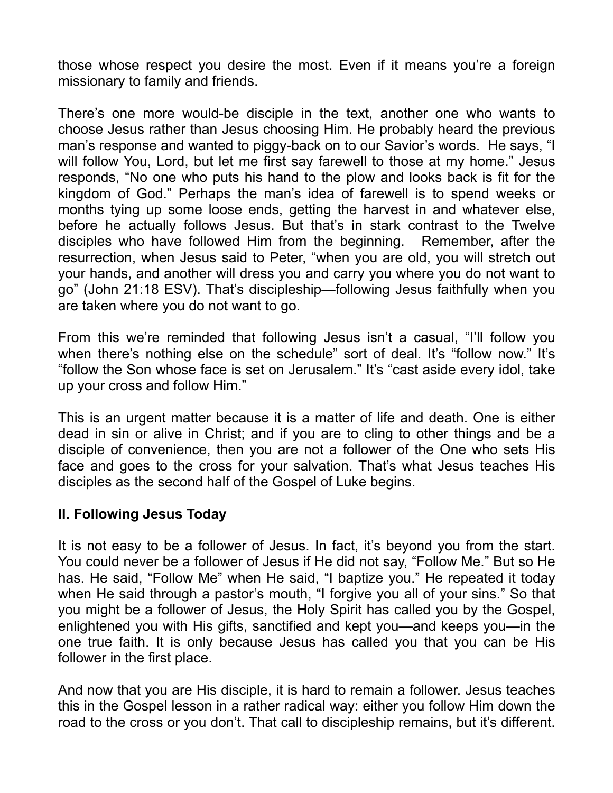those whose respect you desire the most. Even if it means you're a foreign missionary to family and friends.

There's one more would-be disciple in the text, another one who wants to choose Jesus rather than Jesus choosing Him. He probably heard the previous man's response and wanted to piggy-back on to our Savior's words. He says, "I will follow You, Lord, but let me first say farewell to those at my home." Jesus responds, "No one who puts his hand to the plow and looks back is fit for the kingdom of God." Perhaps the man's idea of farewell is to spend weeks or months tying up some loose ends, getting the harvest in and whatever else, before he actually follows Jesus. But that's in stark contrast to the Twelve disciples who have followed Him from the beginning. Remember, after the resurrection, when Jesus said to Peter, "when you are old, you will stretch out your hands, and another will dress you and carry you where you do not want to go" (John 21:18 ESV). That's discipleship—following Jesus faithfully when you are taken where you do not want to go.

From this we're reminded that following Jesus isn't a casual, "I'll follow you when there's nothing else on the schedule" sort of deal. It's "follow now." It's "follow the Son whose face is set on Jerusalem." It's "cast aside every idol, take up your cross and follow Him."

This is an urgent matter because it is a matter of life and death. One is either dead in sin or alive in Christ; and if you are to cling to other things and be a disciple of convenience, then you are not a follower of the One who sets His face and goes to the cross for your salvation. That's what Jesus teaches His disciples as the second half of the Gospel of Luke begins.

## **II. Following Jesus Today**

It is not easy to be a follower of Jesus. In fact, it's beyond you from the start. You could never be a follower of Jesus if He did not say, "Follow Me." But so He has. He said, "Follow Me" when He said, "I baptize you." He repeated it today when He said through a pastor's mouth, "I forgive you all of your sins." So that you might be a follower of Jesus, the Holy Spirit has called you by the Gospel, enlightened you with His gifts, sanctified and kept you—and keeps you—in the one true faith. It is only because Jesus has called you that you can be His follower in the first place.

And now that you are His disciple, it is hard to remain a follower. Jesus teaches this in the Gospel lesson in a rather radical way: either you follow Him down the road to the cross or you don't. That call to discipleship remains, but it's different.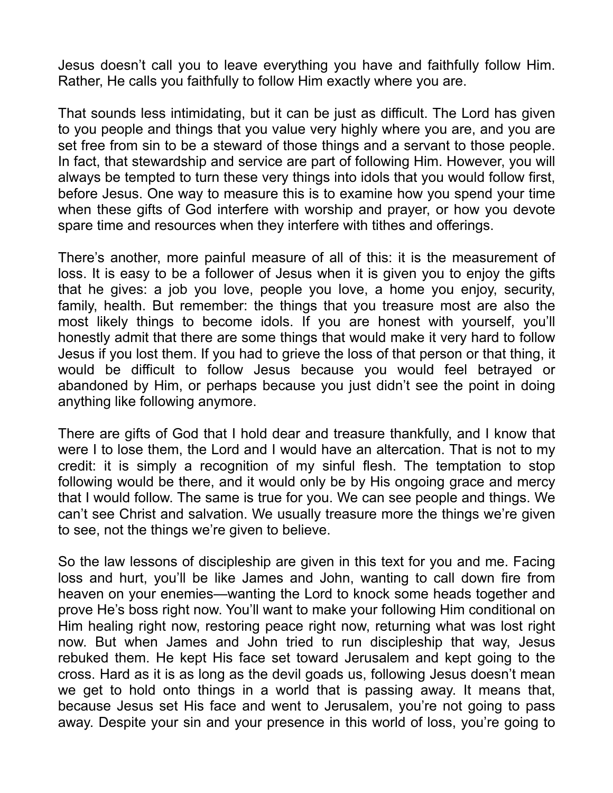Jesus doesn't call you to leave everything you have and faithfully follow Him. Rather, He calls you faithfully to follow Him exactly where you are.

That sounds less intimidating, but it can be just as difficult. The Lord has given to you people and things that you value very highly where you are, and you are set free from sin to be a steward of those things and a servant to those people. In fact, that stewardship and service are part of following Him. However, you will always be tempted to turn these very things into idols that you would follow first, before Jesus. One way to measure this is to examine how you spend your time when these gifts of God interfere with worship and prayer, or how you devote spare time and resources when they interfere with tithes and offerings.

There's another, more painful measure of all of this: it is the measurement of loss. It is easy to be a follower of Jesus when it is given you to enjoy the gifts that he gives: a job you love, people you love, a home you enjoy, security, family, health. But remember: the things that you treasure most are also the most likely things to become idols. If you are honest with yourself, you'll honestly admit that there are some things that would make it very hard to follow Jesus if you lost them. If you had to grieve the loss of that person or that thing, it would be difficult to follow Jesus because you would feel betrayed or abandoned by Him, or perhaps because you just didn't see the point in doing anything like following anymore.

There are gifts of God that I hold dear and treasure thankfully, and I know that were I to lose them, the Lord and I would have an altercation. That is not to my credit: it is simply a recognition of my sinful flesh. The temptation to stop following would be there, and it would only be by His ongoing grace and mercy that I would follow. The same is true for you. We can see people and things. We can't see Christ and salvation. We usually treasure more the things we're given to see, not the things we're given to believe.

So the law lessons of discipleship are given in this text for you and me. Facing loss and hurt, you'll be like James and John, wanting to call down fire from heaven on your enemies—wanting the Lord to knock some heads together and prove He's boss right now. You'll want to make your following Him conditional on Him healing right now, restoring peace right now, returning what was lost right now. But when James and John tried to run discipleship that way, Jesus rebuked them. He kept His face set toward Jerusalem and kept going to the cross. Hard as it is as long as the devil goads us, following Jesus doesn't mean we get to hold onto things in a world that is passing away. It means that, because Jesus set His face and went to Jerusalem, you're not going to pass away. Despite your sin and your presence in this world of loss, you're going to